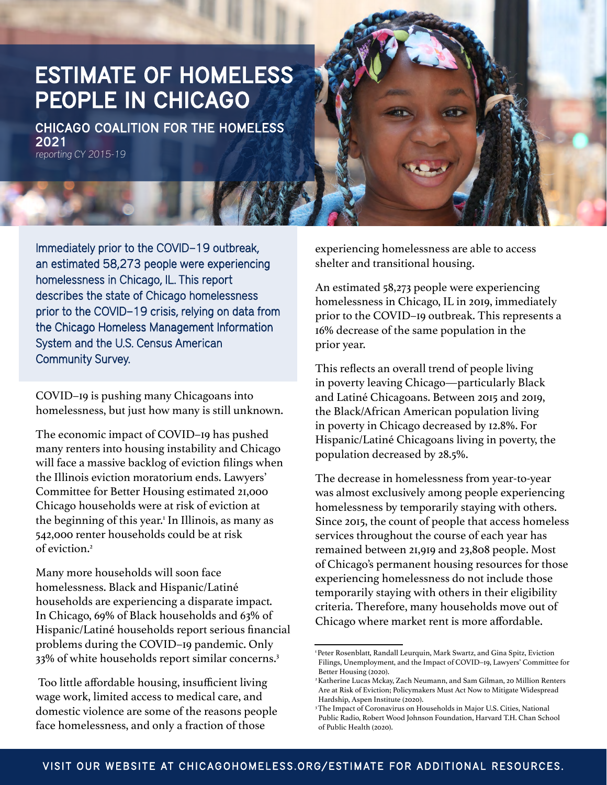# ESTIMATE OF HOMELESS PEOPLE IN CHICAGO

CHICAGO COALITION FOR THE HOMELESS 2021 reporting CY 2015-19

Immediately prior to the COVID–19 outbreak, an estimated 58,273 people were experiencing homelessness in Chicago, IL. This report describes the state of Chicago homelessness prior to the COVID–19 crisis, relying on data from the Chicago Homeless Management Information System and the U.S. Census American Community Survey.

COVID–19 is pushing many Chicagoans into homelessness, but just how many is still unknown.

The economic impact of COVID–19 has pushed many renters into housing instability and Chicago will face a massive backlog of eviction filings when the Illinois eviction moratorium ends. Lawyers' Committee for Better Housing estimated 21,000 Chicago households were at risk of eviction at the beginning of this year.1 In Illinois, as many as 542,000 renter households could be at risk of eviction.2

Many more households will soon face homelessness. Black and Hispanic/Latiné households are experiencing a disparate impact. In Chicago, 69% of Black households and 63% of Hispanic/Latiné households report serious financial problems during the COVID–19 pandemic. Only 33% of white households report similar concerns.3

 Too little affordable housing, insufficient living wage work, limited access to medical care, and domestic violence are some of the reasons people face homelessness, and only a fraction of those

experiencing homelessness are able to access shelter and transitional housing.

An estimated 58,273 people were experiencing homelessness in Chicago, IL in 2019, immediately prior to the COVID–19 outbreak. This represents a 16% decrease of the same population in the prior year.

This reflects an overall trend of people living in poverty leaving Chicago—particularly Black and Latiné Chicagoans. Between 2015 and 2019, the Black/African American population living in poverty in Chicago decreased by 12.8%. For Hispanic/Latiné Chicagoans living in poverty, the population decreased by 28.5%.

The decrease in homelessness from year-to-year was almost exclusively among people experiencing homelessness by temporarily staying with others. Since 2015, the count of people that access homeless services throughout the course of each year has remained between 21,919 and 23,808 people. Most of Chicago's permanent housing resources for those experiencing homelessness do not include those temporarily staying with others in their eligibility criteria. Therefore, many households move out of Chicago where market rent is more affordable.

<sup>&</sup>lt;sup>1</sup> Peter Rosenblatt, Randall Leurquin, Mark Swartz, and Gina Spitz, Eviction Filings, Unemployment, and the Impact of COVID–19, Lawyers' Committee for Better Housing (2020).

<sup>2</sup> Katherine Lucas Mckay, Zach Neumann, and Sam Gilman, 20 Million Renters Are at Risk of Eviction; Policymakers Must Act Now to Mitigate Widespread Hardship, Aspen Institute (2020).

<sup>&</sup>lt;sup>3</sup>The Impact of Coronavirus on Households in Major U.S. Cities, National Public Radio, Robert Wood Johnson Foundation, Harvard T.H. Chan School of Public Health (2020).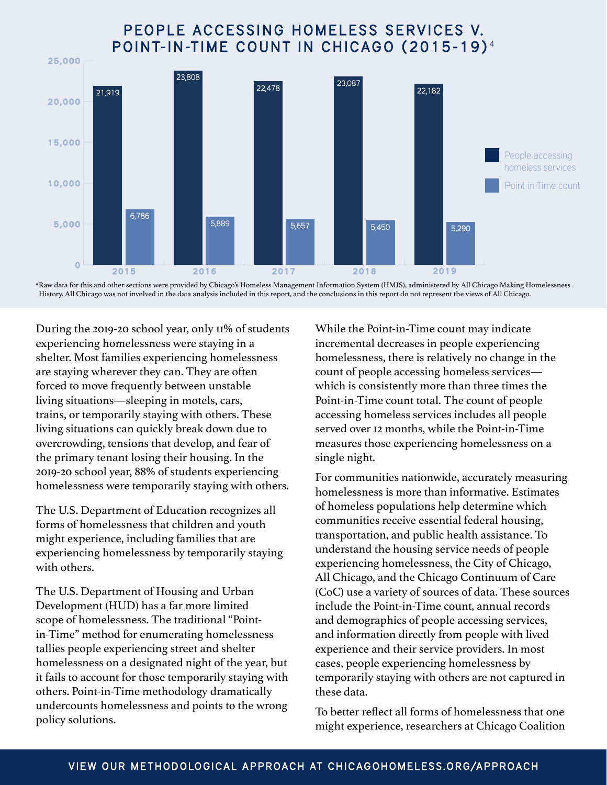### PEOPLE ACCESSING HOMELESS SERVICES V. POINT-IN-TIME COUNT IN CHICAGO (2015-19)<sup>4</sup>



4 Raw data for this and other sections were provided by Chicago's Homeless Management Information System (HMIS), administered by All Chicago Making Homelessness History. All Chicago was not involved in the data analysis included in this report, and the conclusions in this report do not represent the views of All Chicago.

During the 2019-20 school year, only 11% of students experiencing homelessness were staying in a shelter. Most families experiencing homelessness are staying wherever they can. They are often forced to move frequently between unstable living situations—sleeping in motels, cars, trains, or temporarily staying with others. These living situations can quickly break down due to overcrowding, tensions that develop, and fear of the primary tenant losing their housing. In the 2019-20 school year, 88% of students experiencing homelessness were temporarily staying with others.

The U.S. Department of Education recognizes all forms of homelessness that children and youth might experience, including families that are experiencing homelessness by temporarily staying with others.

The U.S. Department of Housing and Urban Development (HUD) has a far more limited scope of homelessness. The traditional "Pointin-Time" method for enumerating homelessness tallies people experiencing street and shelter homelessness on a designated night of the year, but it fails to account for those temporarily staying with others. Point-in-Time methodology dramatically undercounts homelessness and points to the wrong policy solutions.

While the Point-in-Time count may indicate incremental decreases in people experiencing homelessness, there is relatively no change in the count of people accessing homeless services which is consistently more than three times the Point-in-Time count total. The count of people accessing homeless services includes all people served over 12 months, while the Point-in-Time measures those experiencing homelessness on a single night.

For communities nationwide, accurately measuring homelessness is more than informative. Estimates of homeless populations help determine which communities receive essential federal housing, transportation, and public health assistance. To understand the housing service needs of people experiencing homelessness, the City of Chicago, All Chicago, and the Chicago Continuum of Care (CoC) use a variety of sources of data. These sources include the Point-in-Time count, annual records and demographics of people accessing services, and information directly from people with lived experience and their service providers. In most cases, people experiencing homelessness by temporarily staying with others are not captured in these data.

To better reflect all forms of homelessness that one might experience, researchers at Chicago Coalition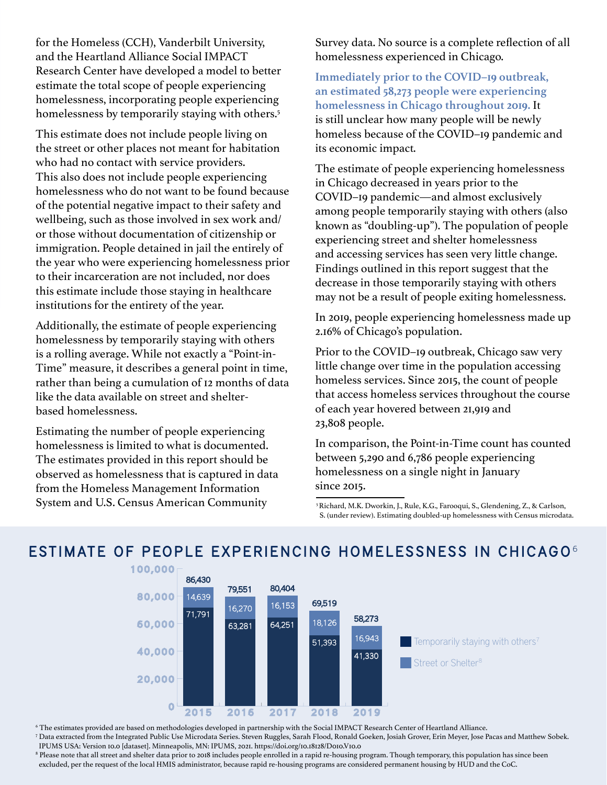for the Homeless (CCH), Vanderbilt University, and the Heartland Alliance Social IMPACT Research Center have developed a model to better estimate the total scope of people experiencing homelessness, incorporating people experiencing homelessness by temporarily staying with others.<sup>5</sup>

This estimate does not include people living on the street or other places not meant for habitation who had no contact with service providers. This also does not include people experiencing homelessness who do not want to be found because of the potential negative impact to their safety and wellbeing, such as those involved in sex work and/ or those without documentation of citizenship or immigration. People detained in jail the entirely of the year who were experiencing homelessness prior to their incarceration are not included, nor does this estimate include those staying in healthcare institutions for the entirety of the year.

Additionally, the estimate of people experiencing homelessness by temporarily staying with others is a rolling average. While not exactly a "Point-in-Time" measure, it describes a general point in time, rather than being a cumulation of 12 months of data like the data available on street and shelterbased homelessness.

Estimating the number of people experiencing homelessness is limited to what is documented. The estimates provided in this report should be observed as homelessness that is captured in data from the Homeless Management Information System and U.S. Census American Community

Survey data. No source is a complete reflection of all homelessness experienced in Chicago.

**Immediately prior to the COVID–19 outbreak, an estimated 58,273 people were experiencing homelessness in Chicago throughout 2019.** It is still unclear how many people will be newly homeless because of the COVID–19 pandemic and its economic impact.

The estimate of people experiencing homelessness in Chicago decreased in years prior to the COVID–19 pandemic—and almost exclusively among people temporarily staying with others (also known as "doubling-up"). The population of people experiencing street and shelter homelessness and accessing services has seen very little change. Findings outlined in this report suggest that the decrease in those temporarily staying with others may not be a result of people exiting homelessness.

In 2019, people experiencing homelessness made up 2.16% of Chicago's population.

Prior to the COVID–19 outbreak, Chicago saw very little change over time in the population accessing homeless services. Since 2015, the count of people that access homeless services throughout the course of each year hovered between 21,919 and 23,808 people.

In comparison, the Point-in-Time count has counted between 5,290 and 6,786 people experiencing homelessness on a single night in January since 2015.

5 Richard, M.K. Dworkin, J., Rule, K.G., Farooqui, S., Glendening, Z., & Carlson, S. (under review). Estimating doubled-up homelessness with Census microdata.



ESTIMATE OF PEOPLE EXPERIENCING HOMELESSNESS IN CHICAGO<sup>6</sup>

6 The estimates provided are based on methodologies developed in partnership with the Social IMPACT Research Center of Heartland Alliance.

7 Data extracted from the Integrated Public Use Microdata Series. Steven Ruggles, Sarah Flood, Ronald Goeken, Josiah Grover, Erin Meyer, Jose Pacas and Matthew Sobek. IPUMS USA: Version 10.0 [dataset]. Minneapolis, MN: IPUMS, 2021. https://doi.org/10.18128/D010.V10.0

8 Please note that all street and shelter data prior to 2018 includes people enrolled in a rapid re-housing program. Though temporary, this population has since been excluded, per the request of the local HMIS administrator, because rapid re-housing programs are considered permanent housing by HUD and the CoC.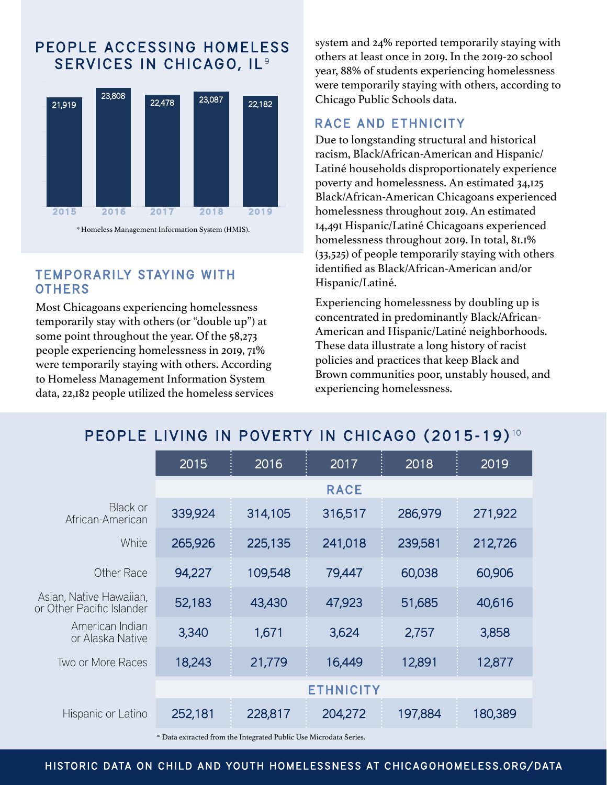### PEOPLE ACCESSING HOMELESS SERVICES IN CHICAGO, IL<sup>9</sup>



#### **TEMPORARILY STAYING WITH OTHERS**

Most Chicagoans experiencing homelessness temporarily stay with others (or "double up") at some point throughout the year. Of the 58,273 people experiencing homelessness in 2019, 71% were temporarily staying with others. According to Homeless Management Information System data, 22,182 people utilized the homeless services system and 24% reported temporarily staying with others at least once in 2019. In the 2019-20 school year, 88% of students experiencing homelessness were temporarily staying with others, according to Chicago Public Schools data.

#### RACE AND ETHNICITY

Due to longstanding structural and historical racism, Black/African-American and Hispanic/ Latiné households disproportionately experience poverty and homelessness. An estimated 34,125 Black/African-American Chicagoans experienced homelessness throughout 2019. An estimated 14,491 Hispanic/Latiné Chicagoans experienced homelessness throughout 2019. In total, 81.1% (33,525) of people temporarily staying with others identified as Black/African-American and/or Hispanic/Latiné.

Experiencing homelessness by doubling up is concentrated in predominantly Black/African-American and Hispanic/Latiné neighborhoods. These data illustrate a long history of racist policies and practices that keep Black and Brown communities poor, unstably housed, and experiencing homelessness.

## PEOPLE LIVING IN POVERTY IN CHICAGO (2015-19)<sup>10</sup>

|                                                      | 2015             | 2016    | 2017    | 2018    | 2019    |  |
|------------------------------------------------------|------------------|---------|---------|---------|---------|--|
|                                                      | <b>RACE</b>      |         |         |         |         |  |
| <b>Black or</b><br>African-American                  | 339,924          | 314,105 | 316,517 | 286,979 | 271,922 |  |
| White                                                | 265,926          | 225,135 | 241,018 | 239,581 | 212,726 |  |
| <b>Other Race</b>                                    | 94,227           | 109,548 | 79,447  | 60,038  | 60,906  |  |
| Asian, Native Hawaiian,<br>or Other Pacific Islander | 52,183           | 43,430  | 47,923  | 51,685  | 40,616  |  |
| American Indian<br>or Alaska Native                  | 3,340            | 1,671   | 3,624   | 2,757   | 3,858   |  |
| Two or More Races                                    | 18,243           | 21,779  | 16,449  | 12,891  | 12,877  |  |
|                                                      | <b>ETHNICITY</b> |         |         |         |         |  |
| Hispanic or Latino                                   | 252,181          | 228,817 | 204,272 | 197,884 | 180,389 |  |

<sup>10</sup> Data extracted from the Integrated Public Use Microdata Series.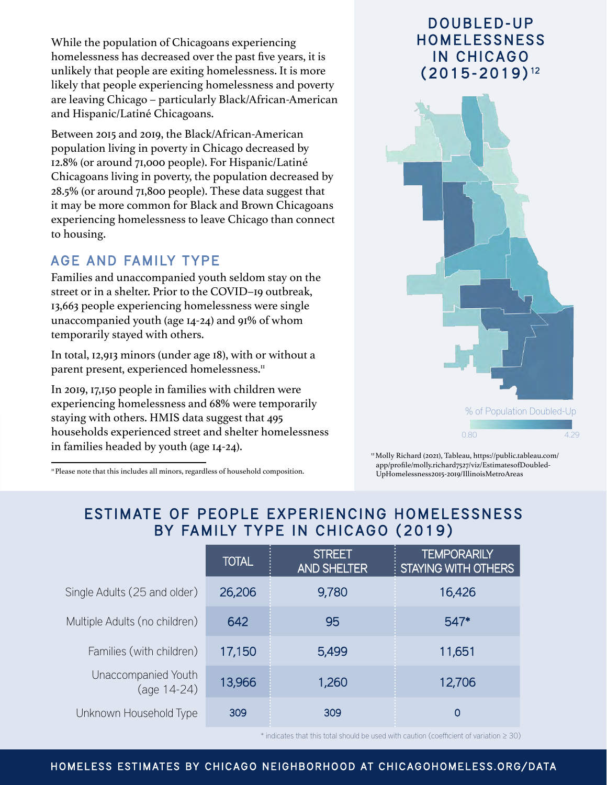While the population of Chicagoans experiencing homelessness has decreased over the past five years, it is unlikely that people are exiting homelessness. It is more likely that people experiencing homelessness and poverty are leaving Chicago – particularly Black/African-American and Hispanic/Latiné Chicagoans.

Between 2015 and 2019, the Black/African-American population living in poverty in Chicago decreased by 12.8% (or around 71,000 people). For Hispanic/Latiné Chicagoans living in poverty, the population decreased by 28.5% (or around 71,800 people). These data suggest that it may be more common for Black and Brown Chicagoans experiencing homelessness to leave Chicago than connect to housing.

#### AGE AND FAMILY TYPE

Families and unaccompanied youth seldom stay on the street or in a shelter. Prior to the COVID–19 outbreak, 13,663 people experiencing homelessness were single unaccompanied youth (age 14-24) and 91% of whom temporarily stayed with others.

In total, 12,913 minors (under age 18), with or without a parent present, experienced homelessness.<sup>11</sup>

In 2019, 17,150 people in families with children were experiencing homelessness and 68% were temporarily staying with others. HMIS data suggest that 495 households experienced street and shelter homelessness in families headed by youth (age 14-24).

<sup>11</sup> Please note that this includes all minors, regardless of household composition.

## DOUBLED-UP **HOMELESSNESS** IN CHICAGO (2015-2019) <sup>12</sup>



12 Molly Richard (2021), Tableau, https://public.tableau.com/ app/profile/molly.richard7527/viz/EstimatesofDoubled- UpHomelessness2015-2019/IllinoisMetroAreas

## ESTIMATE OF PEOPLE EXPERIENCING HOMELESSNESS BY FAMILY TYPE IN CHICAGO (2019)

|                                    | <b>TOTAL</b> | <b>STREET</b><br><b>AND SHELTER</b> | <b>TEMPORARILY</b><br><b>STAYING WITH OTHERS</b> |
|------------------------------------|--------------|-------------------------------------|--------------------------------------------------|
| Single Adults (25 and older)       | 26,206       | 9,780                               | 16,426                                           |
| Multiple Adults (no children)      | 642          | 95                                  | 547*                                             |
| Families (with children)           | 17,150       | 5,499                               | 11,651                                           |
| Unaccompanied Youth<br>(age 14-24) | 13,966       | 1,260                               | 12,706                                           |
| Unknown Household Type             | 309          | 309                                 | 0                                                |

\* indicates that this total should be used with caution (coefficient of variation ≥ 30)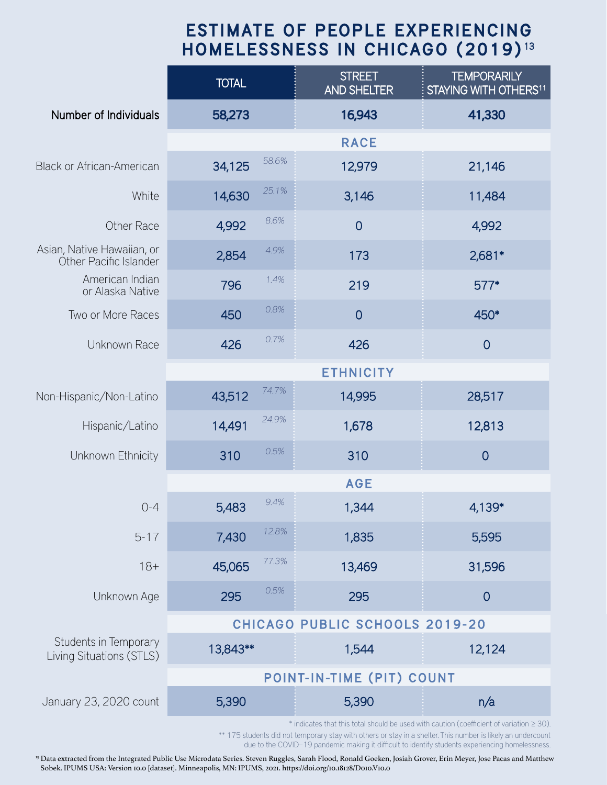## ESTIMATE OF PEOPLE EXPERIENCING HOMELESSNESS IN CHICAGO (2019)<sup>13</sup>

|                                                      | <b>TOTAL</b>                   | <b>STREET</b><br><b>AND SHELTER</b> | <b>TEMPORARILY</b><br>STAYING WITH OTHERS <sup>11</sup> |  |  |  |
|------------------------------------------------------|--------------------------------|-------------------------------------|---------------------------------------------------------|--|--|--|
| <b>Number of Individuals</b>                         | 58,273                         | 16,943                              | 41,330                                                  |  |  |  |
|                                                      |                                | <b>RACE</b>                         |                                                         |  |  |  |
| <b>Black or African-American</b>                     | 58.6%<br>34,125                | 12,979                              | 21,146                                                  |  |  |  |
| White                                                | 25.1%<br>14,630                | 3,146                               | 11,484                                                  |  |  |  |
| <b>Other Race</b>                                    | 8.6%<br>4,992                  | $\overline{0}$                      | 4,992                                                   |  |  |  |
| Asian, Native Hawaiian, or<br>Other Pacific Islander | 4.9%<br>2,854                  | 173                                 | $2,681*$                                                |  |  |  |
| American Indian<br>or Alaska Native                  | 1.4%<br>796                    | 219                                 | 577*                                                    |  |  |  |
| Two or More Races                                    | 0.8%<br>450                    | $\overline{0}$                      | 450*                                                    |  |  |  |
| Unknown Race                                         | 0.7%<br>426                    | 426                                 | $\overline{0}$                                          |  |  |  |
|                                                      | <b>ETHNICITY</b>               |                                     |                                                         |  |  |  |
| Non-Hispanic/Non-Latino                              | 74.7%<br>43,512                | 14,995                              | 28,517                                                  |  |  |  |
| Hispanic/Latino                                      | 24.9%<br>14,491                | 1,678                               | 12,813                                                  |  |  |  |
| Unknown Ethnicity                                    | 0.5%<br>310                    | 310                                 | $\overline{0}$                                          |  |  |  |
|                                                      |                                | <b>AGE</b>                          |                                                         |  |  |  |
| $0 - 4$                                              | 9.4%<br>5,483                  | 1,344                               | 4,139*                                                  |  |  |  |
| $5 - 17$                                             | 12.8%<br>7,430                 | 1,835                               | 5,595                                                   |  |  |  |
| $18 +$                                               | 77.3%<br>45,065                | 13,469                              | 31,596                                                  |  |  |  |
| Unknown Age                                          | 0.5%<br>295                    | 295                                 | $\overline{0}$                                          |  |  |  |
|                                                      | CHICAGO PUBLIC SCHOOLS 2019-20 |                                     |                                                         |  |  |  |
| Students in Temporary<br>Living Situations (STLS)    | 13,843**                       | 1,544                               | 12,124                                                  |  |  |  |
|                                                      | POINT-IN-TIME (PIT) COUNT      |                                     |                                                         |  |  |  |
| January 23, 2020 count                               | 5,390                          | 5,390                               | n/a                                                     |  |  |  |

\* indicates that this total should be used with caution (coefficient of variation ≥ 30).

\*\* 175 students did not temporary stay with others or stay in a shelter. This number is likely an undercount due to the COVID–19 pandemic making it difficult to identify students experiencing homelessness.

<sup>13</sup> Data extracted from the Integrated Public Use Microdata Series. Steven Ruggles, Sarah Flood, Ronald Goeken, Josiah Grover, Erin Meyer, Jose Pacas and Matthew Sobek. IPUMS USA: Version 10.0 [dataset]. Minneapolis, MN: IPUMS, 2021. https://doi.org/10.18128/D010.V10.0